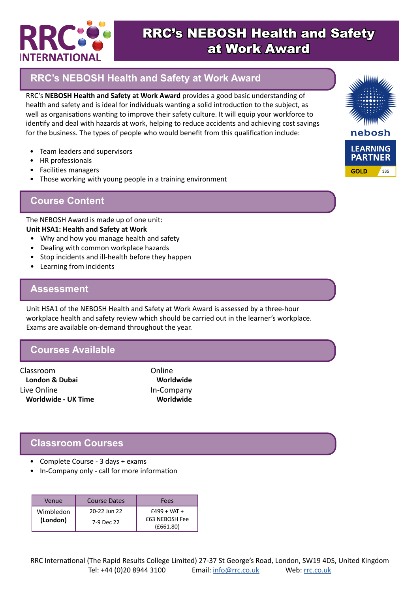

# RRC's NEBOSH Health and Safety at Work Award

## **RRC's NEBOSH Health and Safety at Work Award**

RRC's **NEBOSH Health and Safety at Work Award** provides a good basic understanding of health and safety and is ideal for individuals wanting a solid introduction to the subject, as well as organisations wanting to improve their safety culture. It will equip your workforce to identify and deal with hazards at work, helping to reduce accidents and achieving cost savings for the business. The types of people who would benefit from this qualification include:

- Team leaders and supervisors
- HR professionals
- Facilities managers
- Those working with young people in a training environment

### **Course Content**

The NEBOSH Award is made up of one unit: **Unit HSA1: Health and Safety at Work**

- Why and how you manage health and safety
- Dealing with common workplace hazards
- Stop incidents and ill-health before they happen
- Learning from incidents

#### **Assessment**

Unit HSA1 of the NEBOSH Health and Safety at Work Award is assessed by a three-hour workplace health and safety review which should be carried out in the learner's workplace. Exams are available on-demand throughout the year.

### **Courses Available**

Classroom **London & Dubai** Live Online **Worldwide - UK Time**

Online **Worldwide** In-Company **Worldwide**

### **Classroom Courses**

- Complete Course 3 days + exams
- In-Company only call for more information

| Venue     | <b>Course Dates</b> | Fees                        |
|-----------|---------------------|-----------------------------|
| Wimbledon | 20-22 Jun 22        | $£499 + VAT +$              |
| (London)  | 7-9 Dec 22          | £63 NEBOSH Fee<br>(E661.80) |